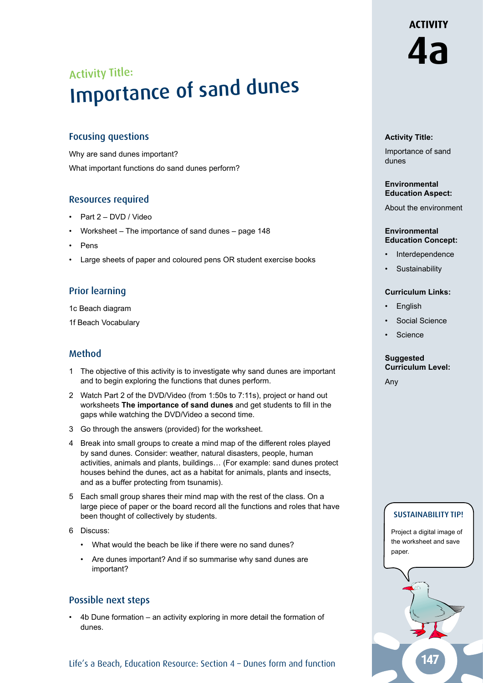# Activity Title: Importance of sand dunes

# Focusing questions

Why are sand dunes important? What important functions do sand dunes perform?

# Resources required

- Part 2 DVD / Video
- Worksheet The importance of sand dunes page 148
- Pens
- Large sheets of paper and coloured pens OR student exercise books

# Prior learning

1c Beach diagram

1f Beach Vocabulary

## Method

- 1 The objective of this activity is to investigate why sand dunes are important and to begin exploring the functions that dunes perform.
- 2 Watch Part 2 of the DVD/Video (from 1:50s to 7:11s), project or hand out worksheets **The importance of sand dunes** and get students to fill in the gaps while watching the DVD/Video a second time.
- 3 Go through the answers (provided) for the worksheet.
- 4 Break into small groups to create a mind map of the different roles played by sand dunes. Consider: weather, natural disasters, people, human activities, animals and plants, buildings… (For example: sand dunes protect houses behind the dunes, act as a habitat for animals, plants and insects, and as a buffer protecting from tsunamis).
- 5 Each small group shares their mind map with the rest of the class. On a large piece of paper or the board record all the functions and roles that have been thought of collectively by students.
- 6 Discuss:
	- What would the beach be like if there were no sand dunes?
	- Are dunes important? And if so summarise why sand dunes are important?

# Possible next steps

• 4b Dune formation – an activity exploring in more detail the formation of dunes.

#### **Activity Title:**

Importance of sand dunes

#### **Environmental Education Aspect:**

About the environment

#### **Environmental Education Concept:**

- **Interdependence**
- **Sustainability**

#### **Curriculum Links:**

- **English**
- Social Science
- **Science**

#### **Suggested Curriculum Level:**

Any

## SUSTAINABILITY TIP!

Project a digital image of the worksheet and save paper.



**4a**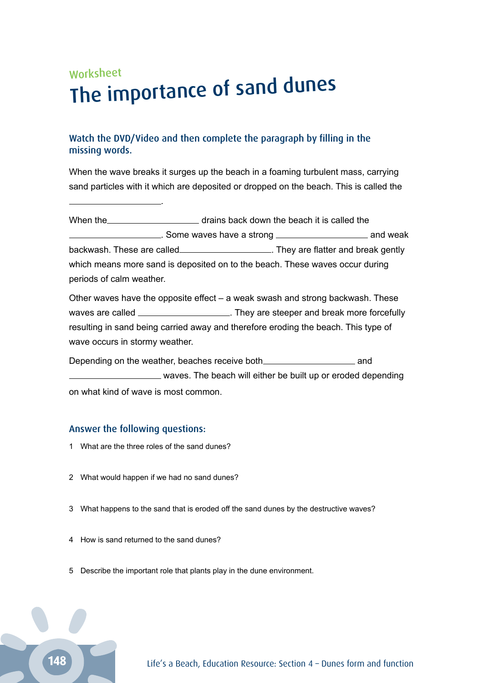# Worksheet The importance of sand dunes

# Watch the DVD/Video and then complete the paragraph by filling in the missing words.

When the wave breaks it surges up the beach in a foaming turbulent mass, carrying sand particles with it which are deposited or dropped on the beach. This is called the

When the **drains back down the beach it is called the EXECUTE:** Some waves have a strong **ADDE EXECUTE:** and weak backwash. These are called *Interpresental Cherry* They are flatter and break gently which means more sand is deposited on to the beach. These waves occur during periods of calm weather.

Other waves have the opposite effect  $-$  a weak swash and strong backwash. These waves are called \_\_\_\_\_\_\_\_\_\_\_\_\_\_\_\_\_\_\_\_\_. They are steeper and break more forcefully resulting in sand being carried away and therefore eroding the beach. This type of wave occurs in stormy weather.

Depending on the weather, beaches receive both\_\_\_\_\_\_\_\_\_\_\_\_\_\_\_\_\_\_\_\_\_\_\_\_\_\_\_\_\_\_\_\_\_\_ and waves. The beach will either be built up or eroded depending on what kind of wave is most common.

## Answer the following questions:

1 What are the three roles of the sand dunes?

.

- 2 What would happen if we had no sand dunes?
- 3 What happens to the sand that is eroded off the sand dunes by the destructive waves?
- 4 How is sand returned to the sand dunes?
- 5 Describe the important role that plants play in the dune environment.